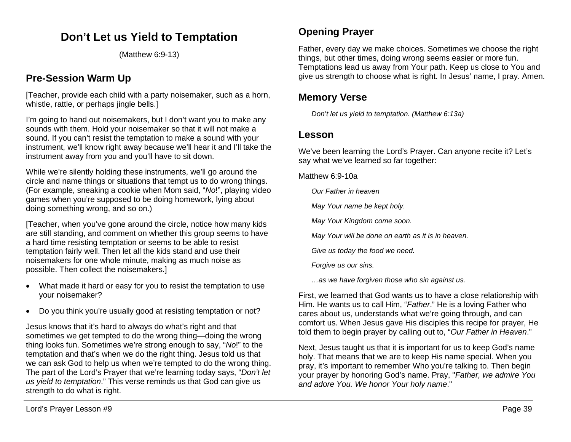# **Don't Let us Yield to Temptation**

(Matthew 6:9-13)

## **Pre-Session Warm Up**

[Teacher, provide each child with a party noisemaker, such as a horn, whistle, rattle, or perhaps jingle bells.]

I'm going to hand out noisemakers, but I don't want you to make any sounds with them. Hold your noisemaker so that it will not make a sound. If you can't resist the temptation to make a sound with your instrument, we'll know right away because we'll hear it and I'll take the instrument away from you and you'll have to sit down.

While we're silently holding these instruments, we'll go around the circle and name things or situations that tempt us to do wrong things. (For example, sneaking a cookie when Mom said, "*No*!", playing video games when you're supposed to be doing homework, lying about doing something wrong, and so on.)

[Teacher, when you've gone around the circle, notice how many kids are still standing, and comment on whether this group seems to have a hard time resisting temptation or seems to be able to resist temptation fairly well. Then let all the kids stand and use their noisemakers for one whole minute, making as much noise as possible. Then collect the noisemakers.]

- What made it hard or easy for you to resist the temptation to use your noisemaker?
- Do you think you're usually good at resisting temptation or not?

Jesus knows that it's hard to always do what's right and that sometimes we get tempted to do the wrong thing—doing the wrong thing looks fun. Sometimes we're strong enough to say, "*No*!" to the temptation and that's when we do the right thing. Jesus told us that we can ask God to help us when we're tempted to do the wrong thing. The part of the Lord's Prayer that we're learning today says, "*Don't let us yield to temptation*." This verse reminds us that God can give us strength to do what is right.

## **Opening Prayer**

Father, every day we make choices. Sometimes we choose the right things, but other times, doing wrong seems easier or more fun. Temptations lead us away from Your path. Keep us close to You and give us strength to choose what is right. In Jesus' name, I pray. Amen.

## **Memory Verse**

*Don't let us yield to temptation. (Matthew 6:13a)*

### **Lesson**

We've been learning the Lord's Prayer. Can anyone recite it? Let's say what we've learned so far together:

Matthew 6:9-10a

*Our Father in heaven*

*May Your name be kept holy.*

*May Your Kingdom come soon.*

*May Your will be done on earth as it is in heaven.*

*Give us today the food we need.*

*Forgive us our sins.*

*…as we have forgiven those who sin against us.*

First, we learned that God wants us to have a close relationship with Him. He wants us to call Him, "*Father*." He is a loving Father who cares about us, understands what we're going through, and can comfort us. When Jesus gave His disciples this recipe for prayer, He told them to begin prayer by calling out to, "*Our Father in Heaven*."

Next, Jesus taught us that it is important for us to keep God's name holy. That means that we are to keep His name special. When you pray, it's important to remember Who you're talking to. Then begin your prayer by honoring God's name. Pray, "*Father, we admire You and adore You. We honor Your holy name*."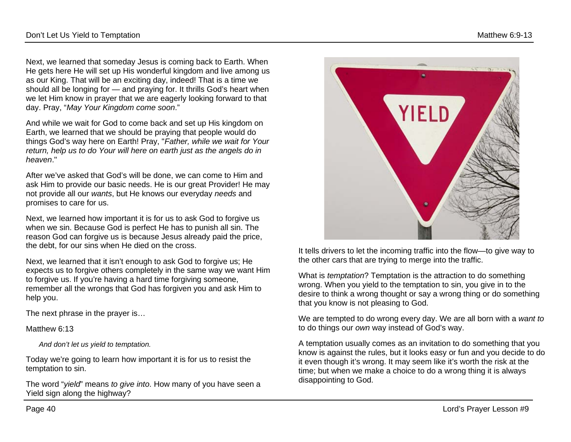Next, we learned that someday Jesus is coming back to Earth. When He gets here He will set up His wonderful kingdom and live among us as our King. That will be an exciting day, indeed! That is a time we should all be longing for — and praying for. It thrills God's heart when we let Him know in prayer that we are eagerly looking forward to that day. Pray, "*May Your Kingdom come soon*."

And while we wait for God to come back and set up His kingdom on Earth, we learned that we should be praying that people would do things God's way here on Earth! Pray, "*Father, while we wait for Your return, help us to do Your will here on earth just as the angels do in heaven*."

After we've asked that God's will be done, we can come to Him and ask Him to provide our basic needs. He is our great Provider! He may not provide all our *wants*, but He knows our everyday *needs* and promises to care for us.

Next, we learned how important it is for us to ask God to forgive us when we sin. Because God is perfect He has to punish all sin. The reason God can forgive us is because Jesus already paid the price, the debt, for our sins when He died on the cross.

Next, we learned that it isn't enough to ask God to forgive us; He expects us to forgive others completely in the same way we want Him to forgive us. If you're having a hard time forgiving someone, remember all the wrongs that God has forgiven you and ask Him to help you.

The next phrase in the prayer is…

Matthew 6:13

*And don't let us yield to temptation.*

Today we're going to learn how important it is for us to resist the temptation to sin.

The word "*yield*" means *to give into*. How many of you have seen a Yield sign along the highway?



It tells drivers to let the incoming traffic into the flow—to give way to the other cars that are trying to merge into the traffic.

What is *temptation*? Temptation is the attraction to do something wrong. When you yield to the temptation to sin, you give in to the desire to think a wrong thought or say a wrong thing or do something that you know is not pleasing to God.

We are tempted to do wrong every day. We are all born with a *want to* to do things our *own* way instead of God's way.

A temptation usually comes as an invitation to do something that you know is against the rules, but it looks easy or fun and you decide to do it even though it's wrong. It may seem like it's worth the risk at the time; but when we make a choice to do a wrong thing it is always disappointing to God.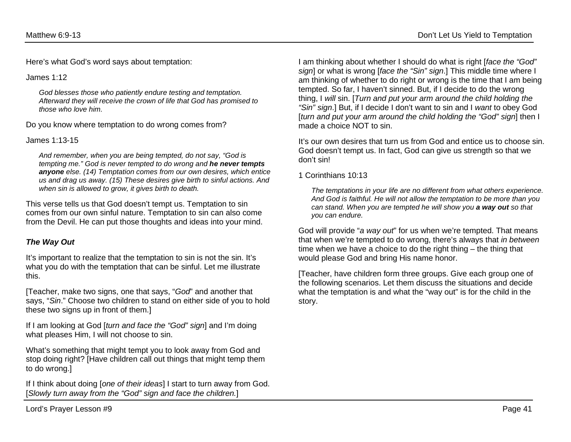Here's what God's word says about temptation:

James 1:12

*God blesses those who patiently endure testing and temptation. Afterward they will receive the crown of life that God has promised to those who love him.* 

Do you know where temptation to do wrong comes from?

#### James 1:13-15

*And remember, when you are being tempted, do not say, "God is tempting me." God is never tempted to do wrong and he never tempts anyone else. (14) Temptation comes from our own desires, which entice us and drag us away. (15) These desires give birth to sinful actions. And when sin is allowed to grow, it gives birth to death.*

This verse tells us that God doesn't tempt us. Temptation to sin comes from our own sinful nature. Temptation to sin can also come from the Devil. He can put those thoughts and ideas into your mind.

#### *The Way Out*

It's important to realize that the temptation to sin is not the sin. It's what you do with the temptation that can be sinful. Let me illustrate this.

[Teacher, make two signs, one that says, "*God*" and another that says, "*Sin*." Choose two children to stand on either side of you to hold these two signs up in front of them.]

If I am looking at God [*turn and face the "God" sign*] and I'm doing what pleases Him, I will not choose to sin.

What's something that might tempt you to look away from God and stop doing right? [Have children call out things that might temp them to do wrong.]

If I think about doing [*one of their ideas*] I start to turn away from God. [*Slowly turn away from the "God" sign and face the children.*]

I am thinking about whether I should do what is right [*face the "God" sign*] or what is wrong [*face the "Sin" sign*.] This middle time where I am thinking of whether to do right or wrong is the time that I am being tempted. So far, I haven't sinned. But, if I decide to do the wrong thing, I *will* sin. [*Turn and put your arm around the child holding the "Sin" sign*.] But, if I decide I don't want to sin and I *want* to obey God [*turn and put your arm around the child holding the "God" sign*] then I made a choice NOT to sin.

It's our own desires that turn us from God and entice us to choose sin. God doesn't tempt us. In fact, God can give us strength so that we don't sin!

1 Corinthians 10:13

*The temptations in your life are no different from what others experience. And God is faithful. He will not allow the temptation to be more than you can stand. When you are tempted he will show you a way out so that you can endure.*

God will provide "*a way out*" for us when we're tempted. That means that when we're tempted to do wrong, there's always that *in between* time when we have a choice to do the right thing – the thing that would please God and bring His name honor.

[Teacher, have children form three groups. Give each group one of the following scenarios. Let them discuss the situations and decide what the temptation is and what the "way out" is for the child in the story.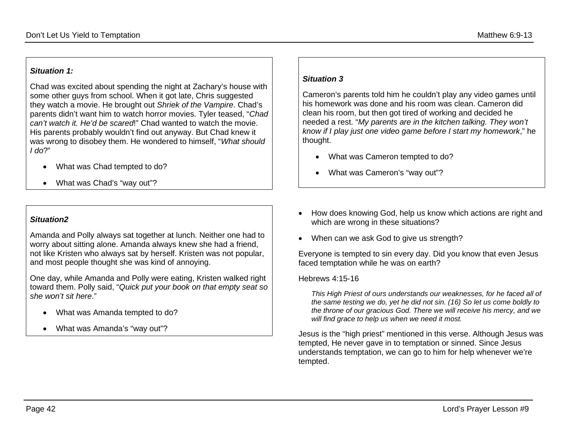#### *Situation 1:*

Chad was excited about spending the night at Zachary's house with some other guys from school. When it got late, Chris suggested they watch a movie. He brought out *Shriek of the Vampire*. Chad's parents didn't want him to watch horror movies. Tyler teased, "*Chad can't watch it. He'd be scared*!" Chad wanted to watch the movie. His parents probably wouldn't find out anyway. But Chad knew it was wrong to disobey them. He wondered to himself, "*What should I do*?"

- What was Chad tempted to do?
- What was Chad's "way out"?

#### *Situation2*

Amanda and Polly always sat together at lunch. Neither one had to worry about sitting alone. Amanda always knew she had a friend, not like Kristen who always sat by herself. Kristen was not popular, and most people thought she was kind of annoying.

One day, while Amanda and Polly were eating, Kristen walked right toward them. Polly said, "*Quick put your book on that empty seat so she won't sit here*."

- What was Amanda tempted to do?
- What was Amanda's "way out"?

#### *Situation 3*

Cameron's parents told him he couldn't play any video games until his homework was done and his room was clean. Cameron did clean his room, but then got tired of working and decided he needed a rest. "*My parents are in the kitchen talking. They won't know if I play just one video game before I start my homework*," he thought.

- What was Cameron tempted to do?
- What was Cameron's "way out"?
- How does knowing God, help us know which actions are right and which are wrong in these situations?
- When can we ask God to give us strength?

Everyone is tempted to sin every day. Did you know that even Jesus faced temptation while he was on earth?

#### Hebrews 4:15-16

*This High Priest of ours understands our weaknesses, for he faced all of the same testing we do, yet he did not sin. (16) So let us come boldly to the throne of our gracious God. There we will receive his mercy, and we will find grace to help us when we need it most.*

Jesus is the "high priest" mentioned in this verse. Although Jesus was tempted, He never gave in to temptation or sinned. Since Jesus understands temptation, we can go to him for help whenever we're tempted.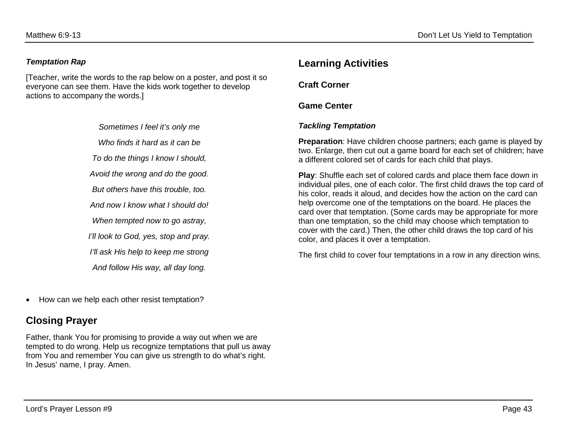#### *Temptation Rap*

[Teacher, write the words to the rap below on a poster, and post it so everyone can see them. Have the kids work together to develop actions to accompany the words.]

> *Sometimes I feel it's only me Who finds it hard as it can be To do the things I know I should, Avoid the wrong and do the good. But others have this trouble, too. And now I know what I should do! When tempted now to go astray, I'll look to God, yes, stop and pray. I'll ask His help to keep me strong And follow His way, all day long.*

**Learning Activities**

**Craft Corner**

**Game Center**

#### *Tackling Temptation*

**Preparation:** Have children choose partners; each game is played by two. Enlarge, then cut out a game board for each set of children; have a different colored set of cards for each child that plays.

**Play**: Shuffle each set of colored cards and place them face down in individual piles, one of each color. The first child draws the top card of his color, reads it aloud, and decides how the action on the card can help overcome one of the temptations on the board. He places the card over that temptation. (Some cards may be appropriate for more than one temptation, so the child may choose which temptation to cover with the card.) Then, the other child draws the top card of his color, and places it over a temptation.

The first child to cover four temptations in a row in any direction wins.

• How can we help each other resist temptation?

## **Closing Prayer**

Father, thank You for promising to provide a way out when we are tempted to do wrong. Help us recognize temptations that pull us away from You and remember You can give us strength to do what's right. In Jesus' name, I pray. Amen.